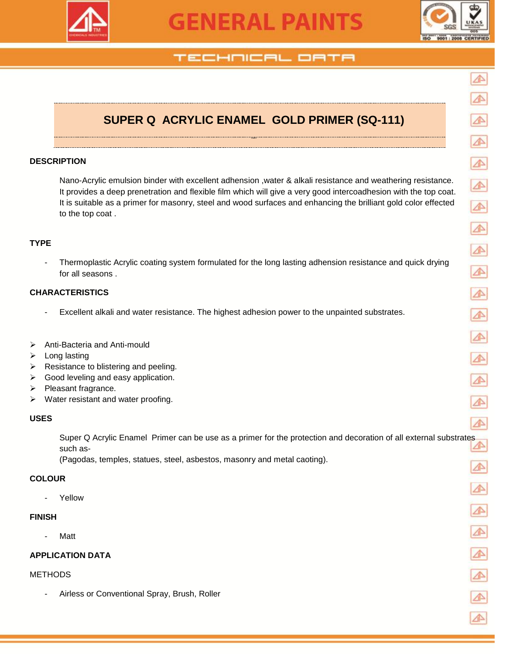

# **GENERAL PAINTS**



# TECHNICAL OATA

# **SUPER Q ACRYLIC ENAMEL GOLD PRIMER (SQ-111)**

RIMER

#### **DESCRIPTION**

Nano-Acrylic emulsion binder with excellent adhension ,water & alkali resistance and weathering resistance. It provides a deep prenetration and flexible film which will give a very good intercoadhesion with the top coat. It is suitable as a primer for masonry, steel and wood surfaces and enhancing the brilliant gold color effected to the top coat .

#### **TYPE**

- Thermoplastic Acrylic coating system formulated for the long lasting adhension resistance and quick drying for all seasons .

#### **CHARACTERISTICS**

- Excellent alkali and water resistance. The highest adhesion power to the unpainted substrates.
- Anti-Bacteria and Anti-mould
- $\triangleright$  Long lasting
- $\triangleright$  Resistance to blistering and peeling.
- $\triangleright$  Good leveling and easy application.
- $\triangleright$  Pleasant fragrance.
- $\triangleright$  Water resistant and water proofing.

#### **USES**

Super Q Acrylic Enamel Primer can be use as a primer for the protection and decoration of all external substrates such as-

(Pagodas, temples, statues, steel, asbestos, masonry and metal caoting).

#### **COLOUR**

**Yellow** 

#### **FINISH**

**Matt** 

#### **APPLICATION DATA**

#### **METHODS**

Airless or Conventional Spray, Brush, Roller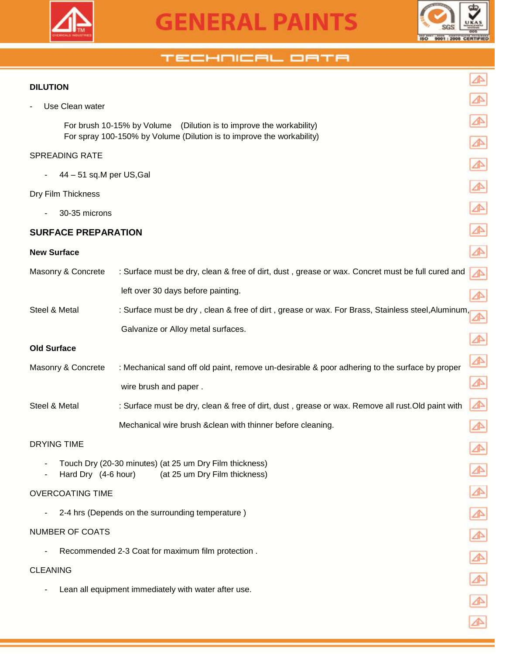



⚠

 $\blacktriangle$ 

 $\blacktriangle$ 

 $\blacktriangle$ 

⚠

⚠

⚠

 $\triangle$ 

⚠

⚠

 $\blacktriangle$ 

⚠

⚠

 $\blacktriangle$ 

 $\blacktriangle$ 

### TECHNICAL ORTA

#### **DILUTION**

Use Clean water

 For brush 10-15% by Volume (Dilution is to improve the workability) For spray 100-150% by Volume (Dilution is to improve the workability)

#### SPREADING RATE

- 44 – 51 sq.M per US,Gal

#### Dry Film Thickness

- 30-35 microns

#### **SURFACE PREPARATION**

#### **New Surface**

| Masonry & Concrete | : Surface must be dry, clean & free of dirt, dust, grease or wax. Concret must be full cured and  |   |
|--------------------|---------------------------------------------------------------------------------------------------|---|
|                    | left over 30 days before painting.                                                                |   |
| Steel & Metal      | : Surface must be dry, clean & free of dirt, grease or wax. For Brass, Stainless steel, Aluminum, |   |
|                    | Galvanize or Alloy metal surfaces.                                                                |   |
| <b>Old Surface</b> |                                                                                                   |   |
| Masonry & Concrete | : Mechanical sand off old paint, remove un-desirable & poor adhering to the surface by proper     | ⚠ |
|                    | wire brush and paper.                                                                             |   |
| Steel & Metal      | : Surface must be dry, clean & free of dirt, dust, grease or wax. Remove all rust. Old paint with | ⚠ |
|                    | Mechanical wire brush & clean with thinner before cleaning.                                       |   |
| DRYING TIME        |                                                                                                   |   |

- Touch Dry (20-30 minutes) (at 25 um Dry Film thickness)
- Hard Dry (4-6 hour) (at 25 um Dry Film thickness)

#### OVERCOATING TIME

- 2-4 hrs (Depends on the surrounding temperature )

#### NUMBER OF COATS

- Recommended 2-3 Coat for maximum film protection .

#### CLEANING

- Lean all equipment immediately with water after use.